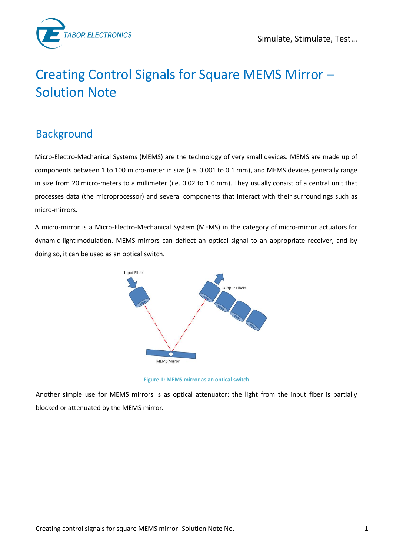



# Creating Control Signals for Square MEMS Mirror – Solution Note

## Background

Micro-Electro-Mechanical Systems (MEMS) are the technology of very small devices. MEMS are made up of components between 1 to 100 micro-meter in size (i.e. 0.001 to 0.1 mm), and MEMS devices generally range in size from 20 micro-meters to a millimeter (i.e. 0.02 to 1.0 mm). They usually consist of a central unit that processes data (the microprocessor) and several components that interact with their surroundings such as micro-mirrors.

A micro-mirror is a Micro-Electro-Mechanical System (MEMS) in the category of micro-mirror actuators for dynamic light modulation. MEMS mirrors can deflect an optical signal to an appropriate receiver, and by doing so, it can be used as an optical switch.



**Figure 1: MEMS mirror as an optical switch** 

Another simple use for MEMS mirrors is as optical attenuator: the light from the input fiber is partially blocked or attenuated by the MEMS mirror.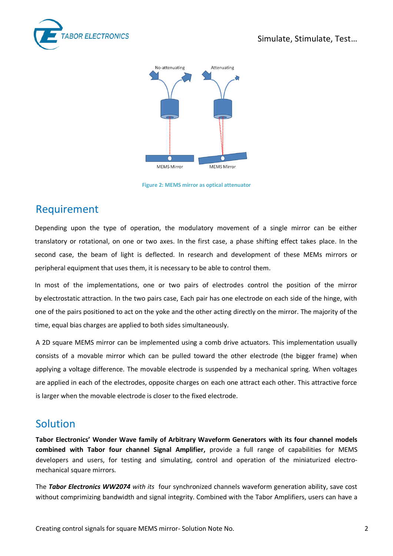



**Figure 2: MEMS mirror as optical attenuator**

### Requirement

Depending upon the type of operation, the modulatory movement of a single mirror can be either translatory or rotational, on one or two axes. In the first case, a phase shifting effect takes place. In the second case, the beam of light is deflected. In research and development of these MEMs mirrors or peripheral equipment that uses them, it is necessary to be able to control them.

In most of the implementations, one or two pairs of electrodes control the position of the mirror by electrostatic attraction. In the two pairs case, Each pair has one electrode on each side of the hinge, with one of the pairs positioned to act on the yoke and the other acting directly on the mirror. The majority of the time, equal bias charges are applied to both sides simultaneously.

A 2D square MEMS mirror can be implemented using a comb drive actuators. This implementation usually consists of a movable mirror which can be pulled toward the other electrode (the bigger frame) when applying a voltage difference. The movable electrode is suspended by a mechanical spring. When voltages are applied in each of the electrodes, opposite charges on each one attract each other. This attractive force is larger when the movable electrode is closer to the fixed electrode.

#### Solution

**Tabor Electronics' Wonder Wave family of Arbitrary Waveform Generators with its four channel models combined with Tabor four channel Signal Amplifier,** provide a full range of capabilities for MEMS developers and users, for testing and simulating, control and operation of the miniaturized electromechanical square mirrors.

The *Tabor Electronics WW2074 with its* four synchronized channels waveform generation ability, save cost without comprimizing bandwidth and signal integrity. Combined with the Tabor Amplifiers, users can have a